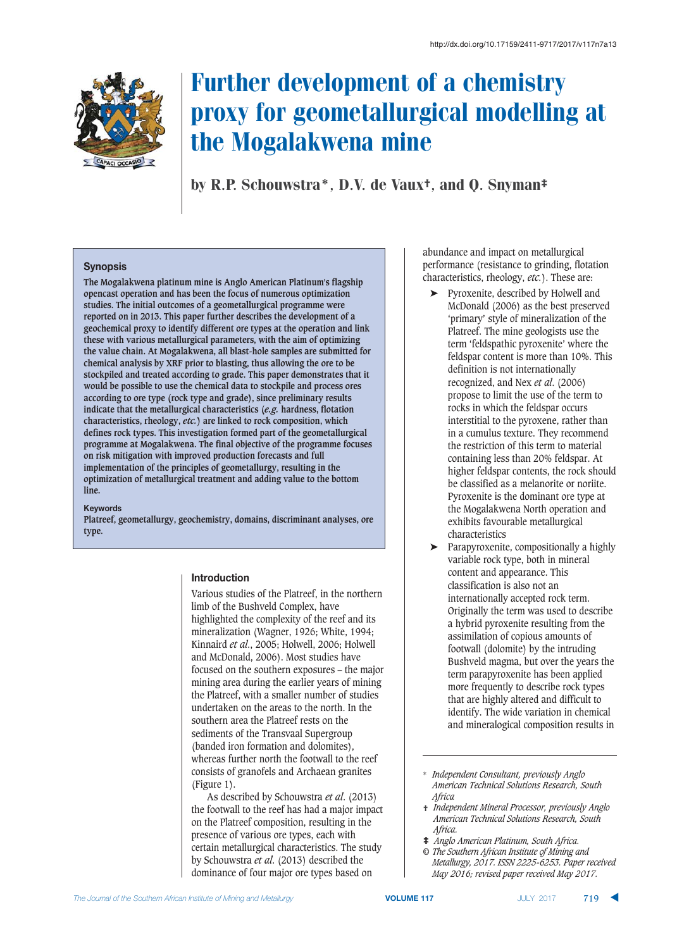

# Further development of a chemistry proxy for geometallurgical modelling at the Mogalakwena mine

by R.P. Schouwstra\*, D.V. de Vaux†, and Q. Snyman‡

#### $S$ *ynopsis*

**The Mogalakwena platinum mine is Anglo American Platinum's flagship opencast operation and has been the focus of numerous optimization studies. The initial outcomes of a geometallurgical programme were reported on in 2013. This paper further describes the development of a geochemical proxy to identify different ore types at the operation and link these with various metallurgical parameters, with the aim of optimizing the value chain. At Mogalakwena, all blast-hole samples are submitted for chemical analysis by XRF prior to blasting, thus allowing the ore to be stockpiled and treated according to grade. This paper demonstrates that it would be possible to use the chemical data to stockpile and process ores according to ore type (rock type and grade), since preliminary results indicate that the metallurgical characteristics (***e.g.* **hardness, flotation characteristics, rheology,** *etc.***) are linked to rock composition, which defines rock types. This investigation formed part of the geometallurgical programme at Mogalakwena. The final objective of the programme focuses on risk mitigation with improved production forecasts and full implementation of the principles of geometallurgy, resulting in the optimization of metallurgical treatment and adding value to the bottom line.**

**82"!3.&-**

**Platreef, geometallurgy, geochemistry, domains, discriminant analyses, ore type.**

#### $\blacksquare$ **htroduction**

Various studies of the Platreef, in the northern limb of the Bushveld Complex, have highlighted the complexity of the reef and its mineralization (Wagner, 1926; White, 1994; Kinnaird *et al*., 2005; Holwell, 2006; Holwell and McDonald, 2006). Most studies have focused on the southern exposures – the major mining area during the earlier years of mining the Platreef, with a smaller number of studies undertaken on the areas to the north. In the southern area the Platreef rests on the sediments of the Transvaal Supergroup (banded iron formation and dolomites), whereas further north the footwall to the reef consists of granofels and Archaean granites (Figure 1).

As described by Schouwstra *et al*. (2013) the footwall to the reef has had a major impact on the Platreef composition, resulting in the presence of various ore types, each with certain metallurgical characteristics. The study by Schouwstra *et al*. (2013) described the dominance of four major ore types based on

abundance and impact on metallurgical performance (resistance to grinding, flotation characteristics, rheology, *etc.*). These are:

- ➤ Pyroxenite, described by Holwell and McDonald (2006) as the best preserved 'primary' style of mineralization of the Platreef. The mine geologists use the term 'feldspathic pyroxenite' where the feldspar content is more than 10%. This definition is not internationally recognized, and Nex *et al*. (2006) propose to limit the use of the term to rocks in which the feldspar occurs interstitial to the pyroxene, rather than in a cumulus texture. They recommend the restriction of this term to material containing less than 20% feldspar. At higher feldspar contents, the rock should be classified as a melanorite or noriite. Pyroxenite is the dominant ore type at the Mogalakwena North operation and exhibits favourable metallurgical characteristics
- ➤ Parapyroxenite, compositionally a highly variable rock type, both in mineral content and appearance. This classification is also not an internationally accepted rock term. Originally the term was used to describe a hybrid pyroxenite resulting from the assimilation of copious amounts of footwall (dolomite) by the intruding Bushveld magma, but over the years the term parapyroxenite has been applied more frequently to describe rock types that are highly altered and difficult to identify. The wide variation in chemical and mineralogical composition results in

- † *Independent Mineral Processor, previously Anglo American Technical Solutions Research, South Africa.*
- ‡ *Anglo American Platinum, South Africa.*
- *© The Southern African Institute of Mining and Metallurgy, 2017. ISSN 2225-6253. Paper received May 2016; revised paper received May 2017.*

<sup>\*</sup> *Independent Consultant, previously Anglo American Technical Solutions Research, South Africa*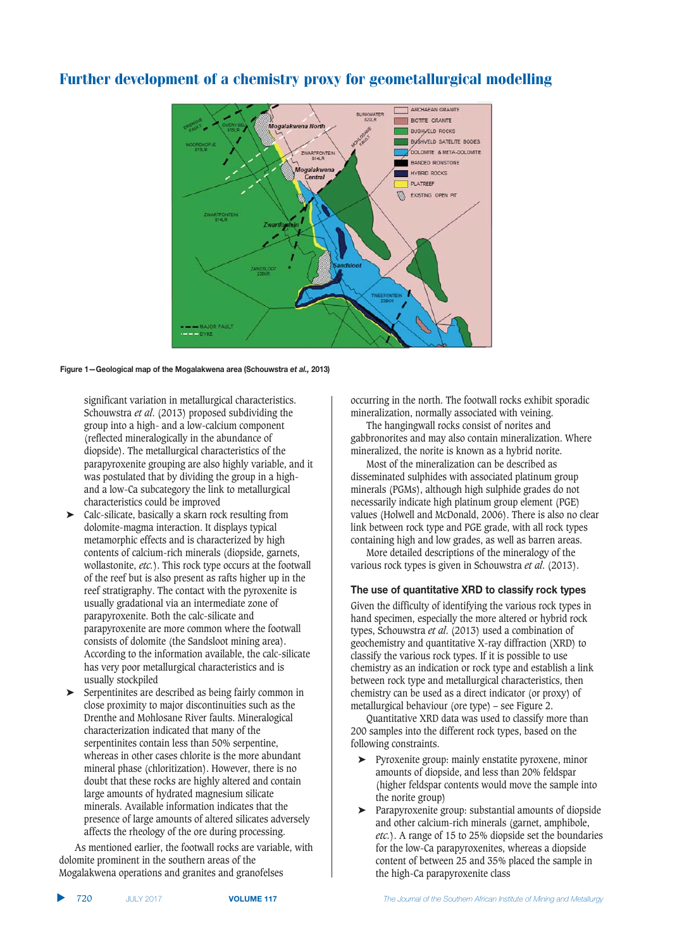

**/)#.2423,3)/\*1,4'1%43\$40(243)1,1!2+1 1.214\*(3#!-0.1**  *-*

significant variation in metallurgical characteristics. Schouwstra *et al*. (2013) proposed subdividing the group into a high- and a low-calcium component (reflected mineralogically in the abundance of diopside). The metallurgical characteristics of the parapyroxenite grouping are also highly variable, and it was postulated that by dividing the group in a highand a low-Ca subcategory the link to metallurgical characteristics could be improved

- ➤ Calc-silicate, basically a skarn rock resulting from dolomite-magma interaction. It displays typical metamorphic effects and is characterized by high contents of calcium-rich minerals (diopside, garnets, wollastonite, *etc.*). This rock type occurs at the footwall of the reef but is also present as rafts higher up in the reef stratigraphy. The contact with the pyroxenite is usually gradational via an intermediate zone of parapyroxenite. Both the calc-silicate and parapyroxenite are more common where the footwall consists of dolomite (the Sandsloot mining area). According to the information available, the calc-silicate has very poor metallurgical characteristics and is usually stockpiled
- ➤ Serpentinites are described as being fairly common in close proximity to major discontinuities such as the Drenthe and Mohlosane River faults. Mineralogical characterization indicated that many of the serpentinites contain less than 50% serpentine, whereas in other cases chlorite is the more abundant mineral phase (chloritization). However, there is no doubt that these rocks are highly altered and contain large amounts of hydrated magnesium silicate minerals. Available information indicates that the presence of large amounts of altered silicates adversely affects the rheology of the ore during processing.

As mentioned earlier, the footwall rocks are variable, with dolomite prominent in the southern areas of the Mogalakwena operations and granites and granofelses

occurring in the north. The footwall rocks exhibit sporadic mineralization, normally associated with veining.

The hangingwall rocks consist of norites and gabbronorites and may also contain mineralization. Where mineralized, the norite is known as a hybrid norite.

Most of the mineralization can be described as disseminated sulphides with associated platinum group minerals (PGMs), although high sulphide grades do not necessarily indicate high platinum group element (PGE) values (Holwell and McDonald, 2006). There is also no clear link between rock type and PGE grade, with all rock types containing high and low grades, as well as barren areas.

More detailed descriptions of the mineralogy of the various rock types is given in Schouwstra *et al*. (2013).

## **The use of quantitative XRD to classify rock types**

Given the difficulty of identifying the various rock types in hand specimen, especially the more altered or hybrid rock types, Schouwstra *et al*. (2013) used a combination of geochemistry and quantitative X-ray diffraction (XRD) to classify the various rock types. If it is possible to use chemistry as an indication or rock type and establish a link between rock type and metallurgical characteristics, then chemistry can be used as a direct indicator (or proxy) of metallurgical behaviour (ore type) – see Figure 2.

Quantitative XRD data was used to classify more than 200 samples into the different rock types, based on the following constraints.

- ➤ Pyroxenite group: mainly enstatite pyroxene, minor amounts of diopside, and less than 20% feldspar (higher feldspar contents would move the sample into the norite group)
- ➤ Parapyroxenite group: substantial amounts of diopside and other calcium-rich minerals (garnet, amphibole, *etc.*). A range of 15 to 25% diopside set the boundaries for the low-Ca parapyroxenites, whereas a diopside content of between 25 and 35% placed the sample in the high-Ca parapyroxenite class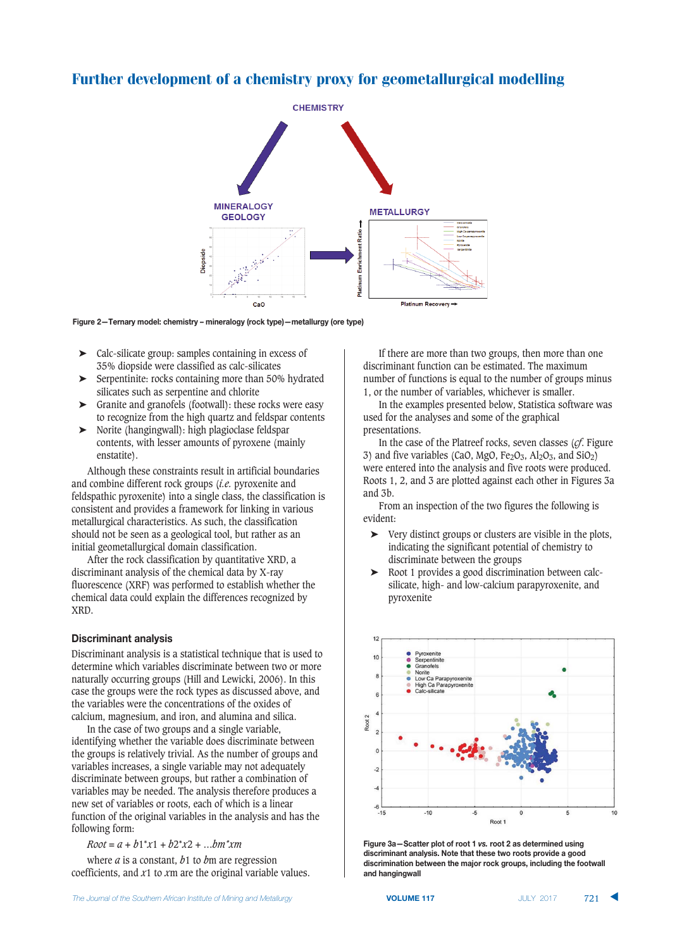



- ➤ Calc-silicate group: samples containing in excess of 35% diopside were classified as calc-silicates
- ➤ Serpentinite: rocks containing more than 50% hydrated silicates such as serpentine and chlorite
- ➤ Granite and granofels (footwall): these rocks were easy to recognize from the high quartz and feldspar contents
- ➤ Norite (hangingwall): high plagioclase feldspar contents, with lesser amounts of pyroxene (mainly enstatite).

Although these constraints result in artificial boundaries and combine different rock groups (*i.e.* pyroxenite and feldspathic pyroxenite) into a single class, the classification is consistent and provides a framework for linking in various metallurgical characteristics. As such, the classification should not be seen as a geological tool, but rather as an initial geometallurgical domain classification.

After the rock classification by quantitative XRD, a discriminant analysis of the chemical data by X-ray fluorescence (XRF) was performed to establish whether the chemical data could explain the differences recognized by XRD.

#### **Discriminant analysis**

Discriminant analysis is a statistical technique that is used to determine which variables discriminate between two or more naturally occurring groups (Hill and Lewicki, 2006). In this case the groups were the rock types as discussed above, and the variables were the concentrations of the oxides of calcium, magnesium, and iron, and alumina and silica.

In the case of two groups and a single variable, identifying whether the variable does discriminate between the groups is relatively trivial. As the number of groups and variables increases, a single variable may not adequately discriminate between groups, but rather a combination of variables may be needed. The analysis therefore produces a new set of variables or roots, each of which is a linear function of the original variables in the analysis and has the following form:

*Root = a + b*1\**x*1 + *b*2\**x*2 + …*bm\*xm*

where *a* is a constant, *b*1 to *b*m are regression coefficients, and *x*1 to *x*m are the original variable values.

If there are more than two groups, then more than one discriminant function can be estimated. The maximum number of functions is equal to the number of groups minus 1, or the number of variables, whichever is smaller.

In the examples presented below, Statistica software was used for the analyses and some of the graphical presentations.

In the case of the Platreef rocks, seven classes (*cf*. Figure 3) and five variables (CaO, MgO, Fe<sub>2</sub>O<sub>3</sub>, Al<sub>2</sub>O<sub>3</sub>, and SiO<sub>2</sub>) were entered into the analysis and five roots were produced. Roots 1, 2, and 3 are plotted against each other in Figures 3a and 3b.

From an inspection of the two figures the following is evident:

- ➤ Very distinct groups or clusters are visible in the plots, indicating the significant potential of chemistry to discriminate between the groups
- ➤ Root 1 provides a good discrimination between calcsilicate, high- and low-calcium parapyroxenite, and pyroxenite



**Figure 3a–Scatter plot of root 1 vs. root 2 as determined using** discriminant analysis. Note that these two roots provide a good  $\blacksquare$  **discrimination between the major rock groups, including the footwall**  $\lambda$ **21 hangingwall** 

 **VOLUME 117**  -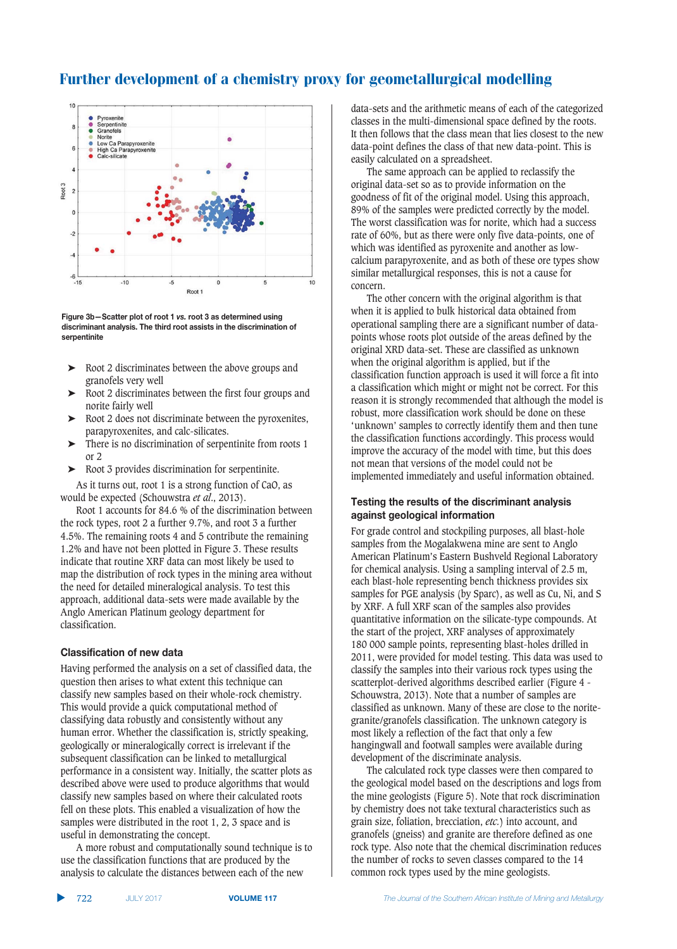

**Figure 3b**-Scatter plot of root 1 vs. root 3 as determined using discriminant analysis. The third root assists in the discrimination of  $\blacksquare$ **28** 

- ➤ Root 2 discriminates between the above groups and granofels very well
- ➤ Root 2 discriminates between the first four groups and norite fairly well
- ➤ Root 2 does not discriminate between the pyroxenites, parapyroxenites, and calc-silicates.
- ➤ There is no discrimination of serpentinite from roots 1 or 2
- ➤ Root 3 provides discrimination for serpentinite.

As it turns out, root 1 is a strong function of CaO, as would be expected (Schouwstra *et al*., 2013).

Root 1 accounts for 84.6 % of the discrimination between the rock types, root 2 a further 9.7%, and root 3 a further 4.5%. The remaining roots 4 and 5 contribute the remaining 1.2% and have not been plotted in Figure 3. These results indicate that routine XRF data can most likely be used to map the distribution of rock types in the mining area without the need for detailed mineralogical analysis. To test this approach, additional data-sets were made available by the Anglo American Platinum geology department for classification.

## $R$ **2121212121212121212121212121212121212121212121212121212121212121212121212**

Having performed the analysis on a set of classified data, the question then arises to what extent this technique can classify new samples based on their whole-rock chemistry. This would provide a quick computational method of classifying data robustly and consistently without any human error. Whether the classification is, strictly speaking, geologically or mineralogically correct is irrelevant if the subsequent classification can be linked to metallurgical performance in a consistent way. Initially, the scatter plots as described above were used to produce algorithms that would classify new samples based on where their calculated roots fell on these plots. This enabled a visualization of how the samples were distributed in the root 1, 2, 3 space and is useful in demonstrating the concept.

A more robust and computationally sound technique is to use the classification functions that are produced by the analysis to calculate the distances between each of the new

data-sets and the arithmetic means of each of the categorized classes in the multi-dimensional space defined by the roots. It then follows that the class mean that lies closest to the new data-point defines the class of that new data-point. This is easily calculated on a spreadsheet.

The same approach can be applied to reclassify the original data-set so as to provide information on the goodness of fit of the original model. Using this approach, 89% of the samples were predicted correctly by the model. The worst classification was for norite, which had a success rate of 60%, but as there were only five data-points, one of which was identified as pyroxenite and another as lowcalcium parapyroxenite, and as both of these ore types show similar metallurgical responses, this is not a cause for concern.

The other concern with the original algorithm is that when it is applied to bulk historical data obtained from operational sampling there are a significant number of datapoints whose roots plot outside of the areas defined by the original XRD data-set. These are classified as unknown when the original algorithm is applied, but if the classification function approach is used it will force a fit into a classification which might or might not be correct. For this reason it is strongly recommended that although the model is robust, more classification work should be done on these 'unknown' samples to correctly identify them and then tune the classification functions accordingly. This process would improve the accuracy of the model with time, but this does not mean that versions of the model could not be implemented immediately and useful information obtained.

# **7esting the results of the discriminant analysis 122 112 12 12 12 12 12 12 12 12 12 12 12 12 12 12 12 12 12 12 12 12 12 12 12 12 12 12 12 12 12**

For grade control and stockpiling purposes, all blast-hole samples from the Mogalakwena mine are sent to Anglo American Platinum's Eastern Bushveld Regional Laboratory for chemical analysis. Using a sampling interval of 2.5 m, each blast-hole representing bench thickness provides six samples for PGE analysis (by Sparc), as well as Cu, Ni, and S by XRF. A full XRF scan of the samples also provides quantitative information on the silicate-type compounds. At the start of the project, XRF analyses of approximately 180 000 sample points, representing blast-holes drilled in 2011, were provided for model testing. This data was used to classify the samples into their various rock types using the scatterplot-derived algorithms described earlier (Figure 4 - Schouwstra, 2013). Note that a number of samples are classified as unknown. Many of these are close to the noritegranite/granofels classification. The unknown category is most likely a reflection of the fact that only a few hangingwall and footwall samples were available during development of the discriminate analysis.

The calculated rock type classes were then compared to the geological model based on the descriptions and logs from the mine geologists (Figure 5). Note that rock discrimination by chemistry does not take textural characteristics such as grain size, foliation, brecciation, *etc.*) into account, and granofels (gneiss) and granite are therefore defined as one rock type. Also note that the chemical discrimination reduces the number of rocks to seven classes compared to the 14 common rock types used by the mine geologists.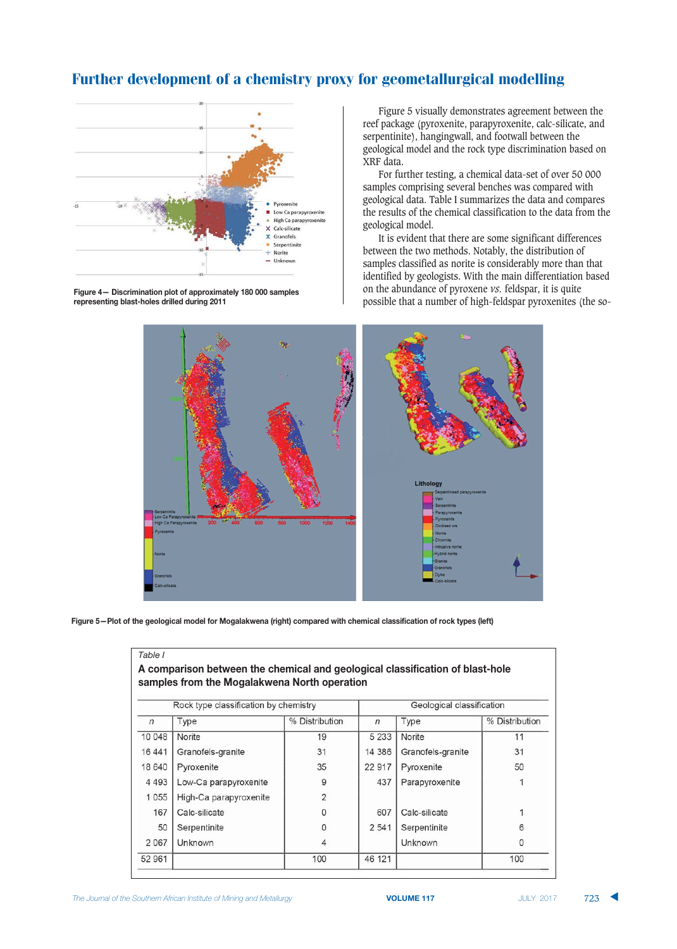

**1244** Figure 4 - Discrimination plot of approximately 180 000 samples **2011** representing blast-holes drilled during 2011

Figure 5 visually demonstrates agreement between the reef package (pyroxenite, parapyroxenite, calc-silicate, and serpentinite), hangingwall, and footwall between the geological model and the rock type discrimination based on XRF data.

For further testing, a chemical data-set of over 50 000 samples comprising several benches was compared with geological data. Table I summarizes the data and compares the results of the chemical classification to the data from the geological model.

It is evident that there are some significant differences between the two methods. Notably, the distribution of samples classified as norite is considerably more than that identified by geologists. With the main differentiation based on the abundance of pyroxene *vs.* feldspar, it is quite possible that a number of high-feldspar pyroxenites (the so-



Figure 5—Plot of the geological model for Mogalakwena (right) compared with chemical classification of rock types (left)

|            | Rock type classification by chemistry |                | Geological classification |                   |                |
|------------|---------------------------------------|----------------|---------------------------|-------------------|----------------|
| $\sqrt{n}$ | Type                                  | % Distribution | n                         | Type              | % Distribution |
| 10 048     | Norite                                | 19             | 5 2 3 3                   | Norite            | 11             |
| 16441      | Granofels-granite                     | 31             | 14 386                    | Granofels-granite | 31             |
| 18 640     | Pyroxenite                            | 35             | 22 917                    | Pyroxenite        | 50             |
| 4 4 9 3    | Low-Ca parapyroxenite                 | 9              | 437                       | Parapyroxenite    |                |
| 1055       | High-Ca parapyroxenite                | $\overline{2}$ |                           |                   |                |
| 167        | Calc-silicate                         | 0              | 607                       | Calc-silicate     |                |
| 50         | Serpentinite                          | 0              | 2 5 4 1                   | Serpentinite      | 6              |
| 2067       | Unknown                               | 4              |                           | Unknown           | $\Omega$       |
| 52 961     |                                       | 100            | 46 121                    |                   | 100            |

*Table I*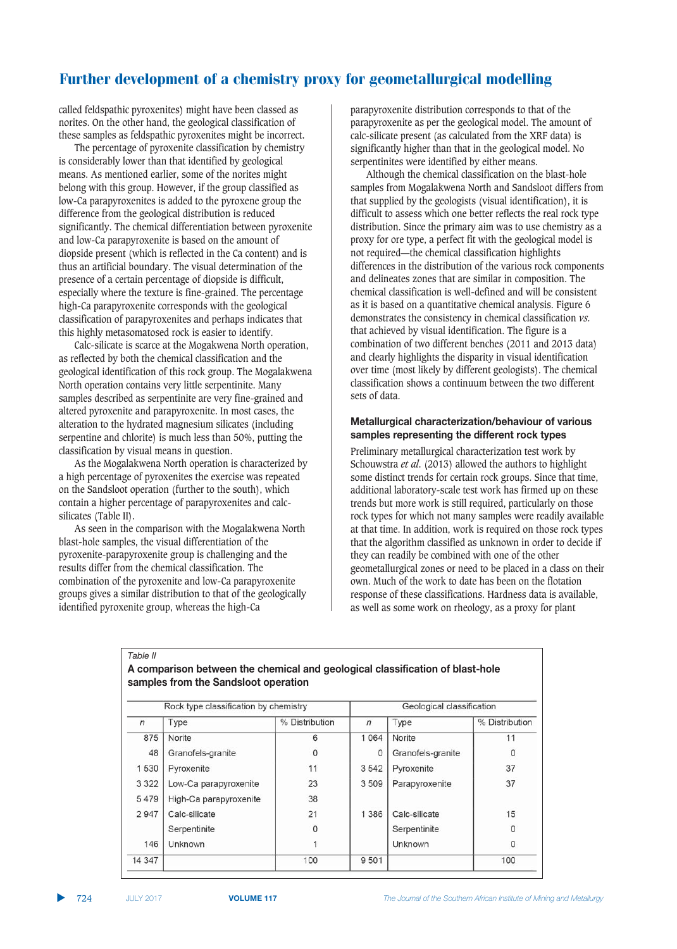called feldspathic pyroxenites) might have been classed as norites. On the other hand, the geological classification of these samples as feldspathic pyroxenites might be incorrect.

The percentage of pyroxenite classification by chemistry is considerably lower than that identified by geological means. As mentioned earlier, some of the norites might belong with this group. However, if the group classified as low-Ca parapyroxenites is added to the pyroxene group the difference from the geological distribution is reduced significantly. The chemical differentiation between pyroxenite and low-Ca parapyroxenite is based on the amount of diopside present (which is reflected in the Ca content) and is thus an artificial boundary. The visual determination of the presence of a certain percentage of diopside is difficult, especially where the texture is fine-grained. The percentage high-Ca parapyroxenite corresponds with the geological classification of parapyroxenites and perhaps indicates that this highly metasomatosed rock is easier to identify.

Calc-silicate is scarce at the Mogakwena North operation, as reflected by both the chemical classification and the geological identification of this rock group. The Mogalakwena North operation contains very little serpentinite. Many samples described as serpentinite are very fine-grained and altered pyroxenite and parapyroxenite. In most cases, the alteration to the hydrated magnesium silicates (including serpentine and chlorite) is much less than 50%, putting the classification by visual means in question.

As the Mogalakwena North operation is characterized by a high percentage of pyroxenites the exercise was repeated on the Sandsloot operation (further to the south), which contain a higher percentage of parapyroxenites and calcsilicates (Table II).

As seen in the comparison with the Mogalakwena North blast-hole samples, the visual differentiation of the pyroxenite-parapyroxenite group is challenging and the results differ from the chemical classification. The combination of the pyroxenite and low-Ca parapyroxenite groups gives a similar distribution to that of the geologically identified pyroxenite group, whereas the high-Ca

parapyroxenite distribution corresponds to that of the parapyroxenite as per the geological model. The amount of calc-silicate present (as calculated from the XRF data) is significantly higher than that in the geological model. No serpentinites were identified by either means.

Although the chemical classification on the blast-hole samples from Mogalakwena North and Sandsloot differs from that supplied by the geologists (visual identification), it is difficult to assess which one better reflects the real rock type distribution. Since the primary aim was to use chemistry as a proxy for ore type, a perfect fit with the geological model is not required—the chemical classification highlights differences in the distribution of the various rock components and delineates zones that are similar in composition. The chemical classification is well-defined and will be consistent as it is based on a quantitative chemical analysis. Figure 6 demonstrates the consistency in chemical classification *vs.* that achieved by visual identification. The figure is a combination of two different benches (2011 and 2013 data) and clearly highlights the disparity in visual identification over time (most likely by different geologists). The chemical classification shows a continuum between the two different sets of data.

#### **2013** Metallurgical characterization/behaviour of various **-1'%,2- .2%.2-2+0/+)40(24&/\$\$2.2+04.3\*40"%2-**

Preliminary metallurgical characterization test work by Schouwstra *et al*. (2013) allowed the authors to highlight some distinct trends for certain rock groups. Since that time, additional laboratory-scale test work has firmed up on these trends but more work is still required, particularly on those rock types for which not many samples were readily available at that time. In addition, work is required on those rock types that the algorithm classified as unknown in order to decide if they can readily be combined with one of the other geometallurgical zones or need to be placed in a class on their own. Much of the work to date has been on the flotation response of these classifications. Hardness data is available, as well as some work on rheology, as a proxy for plant

*Table II*

#### **4\*3'%1./-3+4 20!22+40(24\*(2'/\*1,41+&4)23,3)/\*1,4\*,1--/\$/\*10/3+43\$4 ,1-0(3,2 -1'%,2-4\$.3'40(241+&-,33043%2.10/3+**

|         | Rock type classification by chemistry |                | Geological classification |                   |                |
|---------|---------------------------------------|----------------|---------------------------|-------------------|----------------|
| $\eta$  | Type                                  | % Distribution | $\sqrt{n}$                | Type              | % Distribution |
| 875     | Norite                                | 6              | 1 0 6 4                   | Norite            | 11             |
| 48      | Granofels-granite                     | 0              | 0                         | Granofels-granite | 0              |
| 1530    | Pyroxenite                            | 11             | 3 5 4 2                   | Pyroxenite        | 37             |
| 3 3 2 2 | Low-Ca parapyroxenite                 | 23             | 3 509                     | Parapyroxenite    | 37             |
| 5479    | High-Ca parapyroxenite                | 38             |                           |                   |                |
| 2947    | Calc-silicate                         | 21             | 1 3 8 6                   | Calc-silicate     | 15             |
|         | Serpentinite                          | 0              |                           | Serpentinite      | 0              |
| 146     | Unknown                               |                |                           | Unknown           | 0              |
| 14 347  |                                       | 100            | 9501                      |                   | 100            |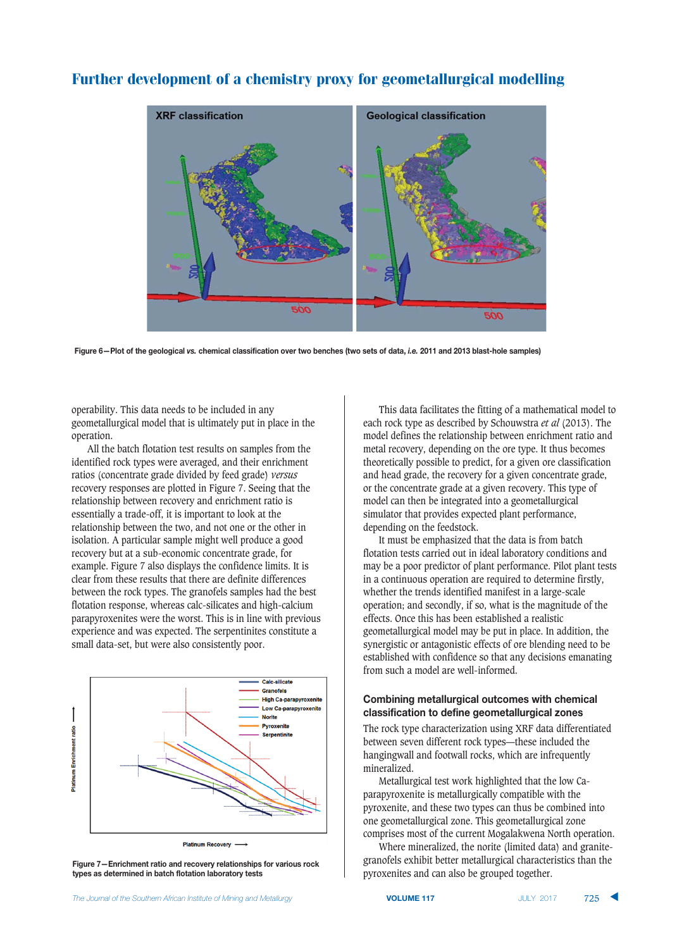# **XRF** classification **Geological classification** 500 500

# Further development of a chemistry proxy for geometallurgical modelling

Figure 6—Plot of the geological vs. chemical classification over two benches (two sets of data, *i.e.* 2011 and 2013 blast-hole samples)

operability. This data needs to be included in any geometallurgical model that is ultimately put in place in the operation.

All the batch flotation test results on samples from the identified rock types were averaged, and their enrichment ratios (concentrate grade divided by feed grade) *versus* recovery responses are plotted in Figure 7. Seeing that the relationship between recovery and enrichment ratio is essentially a trade-off, it is important to look at the relationship between the two, and not one or the other in isolation. A particular sample might well produce a good recovery but at a sub-economic concentrate grade, for example. Figure 7 also displays the confidence limits. It is clear from these results that there are definite differences between the rock types. The granofels samples had the best flotation response, whereas calc-silicates and high-calcium parapyroxenites were the worst. This is in line with previous experience and was expected. The serpentinites constitute a small data-set, but were also consistently poor.



Figure 7-Enrichment ratio and recovery relationships for various rock **0"%2- 1-4&202.'/+2&4/+4 10\*(4\$,3010/3+4,1 3.103."402-0-**

This data facilitates the fitting of a mathematical model to each rock type as described by Schouwstra *et al* (2013). The model defines the relationship between enrichment ratio and metal recovery, depending on the ore type. It thus becomes theoretically possible to predict, for a given ore classification and head grade, the recovery for a given concentrate grade, or the concentrate grade at a given recovery. This type of model can then be integrated into a geometallurgical simulator that provides expected plant performance, depending on the feedstock.

It must be emphasized that the data is from batch flotation tests carried out in ideal laboratory conditions and may be a poor predictor of plant performance. Pilot plant tests in a continuous operation are required to determine firstly, whether the trends identified manifest in a large-scale operation; and secondly, if so, what is the magnitude of the effects. Once this has been established a realistic geometallurgical model may be put in place. In addition, the synergistic or antagonistic effects of ore blending need to be established with confidence so that any decisions emanating from such a model are well-informed.

# $R$  **Combining metallurgical outcomes with chemical**  $\frac{1}{2}$  classification to define geometallurgical zones

The rock type characterization using XRF data differentiated between seven different rock types—these included the hangingwall and footwall rocks, which are infrequently mineralized.

Metallurgical test work highlighted that the low Caparapyroxenite is metallurgically compatible with the pyroxenite, and these two types can thus be combined into one geometallurgical zone. This geometallurgical zone comprises most of the current Mogalakwena North operation.

Where mineralized, the norite (limited data) and granitegranofels exhibit better metallurgical characteristics than the pyroxenites and can also be grouped together.

725